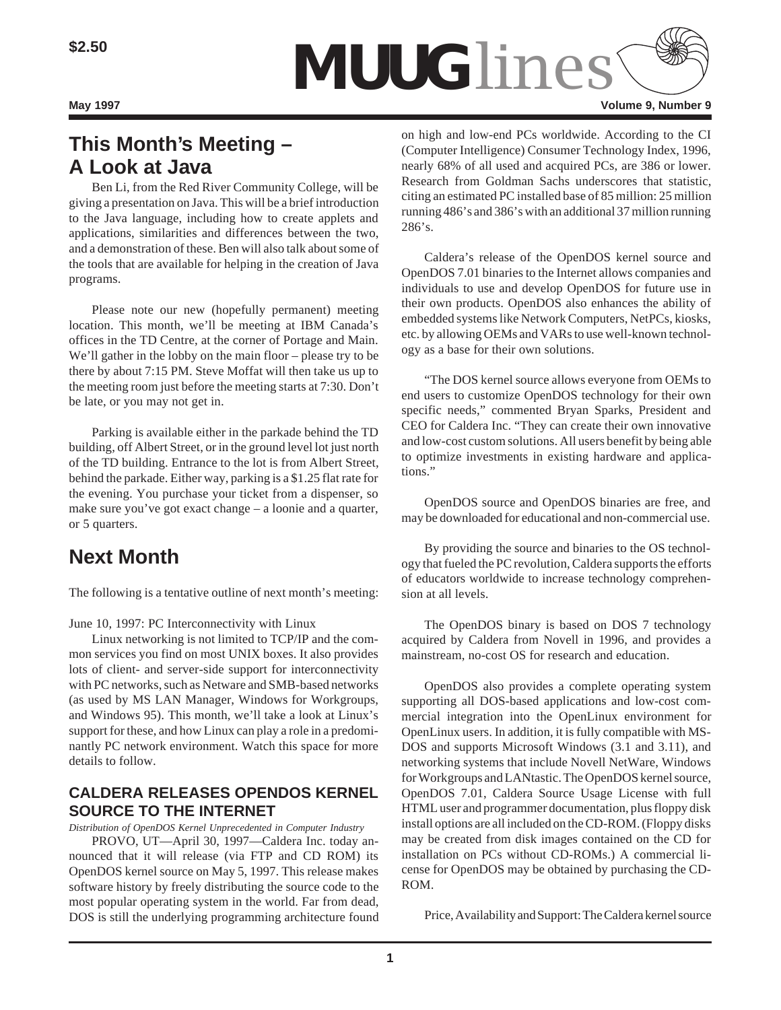

# **This Month's Meeting – A Look at Java**

Ben Li, from the Red River Community College, will be giving a presentation on Java. This will be a brief introduction to the Java language, including how to create applets and applications, similarities and differences between the two, and a demonstration of these. Ben will also talk about some of the tools that are available for helping in the creation of Java programs.

Please note our new (hopefully permanent) meeting location. This month, we'll be meeting at IBM Canada's offices in the TD Centre, at the corner of Portage and Main. We'll gather in the lobby on the main floor – please try to be there by about 7:15 PM. Steve Moffat will then take us up to the meeting room just before the meeting starts at 7:30. Don't be late, or you may not get in.

Parking is available either in the parkade behind the TD building, off Albert Street, or in the ground level lot just north of the TD building. Entrance to the lot is from Albert Street, behind the parkade. Either way, parking is a \$1.25 flat rate for the evening. You purchase your ticket from a dispenser, so make sure you've got exact change – a loonie and a quarter, or 5 quarters.

## **Next Month**

The following is a tentative outline of next month's meeting:

June 10, 1997: PC Interconnectivity with Linux

Linux networking is not limited to TCP/IP and the common services you find on most UNIX boxes. It also provides lots of client- and server-side support for interconnectivity with PC networks, such as Netware and SMB-based networks (as used by MS LAN Manager, Windows for Workgroups, and Windows 95). This month, we'll take a look at Linux's support for these, and how Linux can play a role in a predominantly PC network environment. Watch this space for more details to follow.

### **CALDERA RELEASES OPENDOS KERNEL SOURCE TO THE INTERNET**

*Distribution of OpenDOS Kernel Unprecedented in Computer Industry*

PROVO, UT—April 30, 1997—Caldera Inc. today announced that it will release (via FTP and CD ROM) its OpenDOS kernel source on May 5, 1997. This release makes software history by freely distributing the source code to the most popular operating system in the world. Far from dead, DOS is still the underlying programming architecture found on high and low-end PCs worldwide. According to the CI (Computer Intelligence) Consumer Technology Index, 1996, nearly 68% of all used and acquired PCs, are 386 or lower. Research from Goldman Sachs underscores that statistic, citing an estimated PC installed base of 85 million: 25 million running 486's and 386's with an additional 37 million running 286's.

Caldera's release of the OpenDOS kernel source and OpenDOS 7.01 binaries to the Internet allows companies and individuals to use and develop OpenDOS for future use in their own products. OpenDOS also enhances the ability of embedded systems like Network Computers, NetPCs, kiosks, etc. by allowing OEMs and VARs to use well-known technology as a base for their own solutions.

"The DOS kernel source allows everyone from OEMs to end users to customize OpenDOS technology for their own specific needs," commented Bryan Sparks, President and CEO for Caldera Inc. "They can create their own innovative and low-cost custom solutions. All users benefit by being able to optimize investments in existing hardware and applications."

OpenDOS source and OpenDOS binaries are free, and may be downloaded for educational and non-commercial use.

By providing the source and binaries to the OS technology that fueled the PC revolution, Caldera supports the efforts of educators worldwide to increase technology comprehension at all levels.

The OpenDOS binary is based on DOS 7 technology acquired by Caldera from Novell in 1996, and provides a mainstream, no-cost OS for research and education.

OpenDOS also provides a complete operating system supporting all DOS-based applications and low-cost commercial integration into the OpenLinux environment for OpenLinux users. In addition, it is fully compatible with MS-DOS and supports Microsoft Windows (3.1 and 3.11), and networking systems that include Novell NetWare, Windows for Workgroups and LANtastic. The OpenDOS kernel source, OpenDOS 7.01, Caldera Source Usage License with full HTML user and programmer documentation, plus floppy disk install options are all included on the CD-ROM. (Floppy disks may be created from disk images contained on the CD for installation on PCs without CD-ROMs.) A commercial license for OpenDOS may be obtained by purchasing the CD-ROM.

Price, Availability and Support: The Caldera kernel source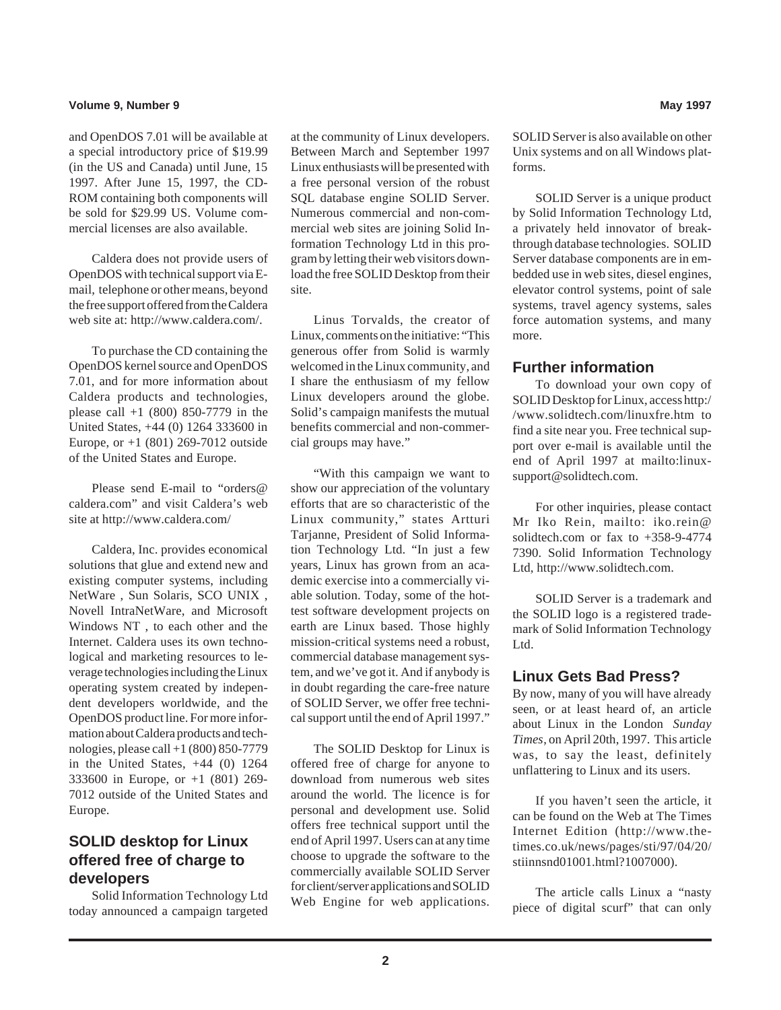### **Volume 9, Number 9 May 1997**

and OpenDOS 7.01 will be available at a special introductory price of \$19.99 (in the US and Canada) until June, 15 1997. After June 15, 1997, the CD-ROM containing both components will be sold for \$29.99 US. Volume commercial licenses are also available.

Caldera does not provide users of OpenDOS with technical support via Email, telephone or other means, beyond the free support offered from the Caldera web site at: http://www.caldera.com/.

To purchase the CD containing the OpenDOS kernel source and OpenDOS 7.01, and for more information about Caldera products and technologies, please call  $+1$  (800) 850-7779 in the United States, +44 (0) 1264 333600 in Europe, or +1 (801) 269-7012 outside of the United States and Europe.

Please send E-mail to "orders@ caldera.com" and visit Caldera's web site at http://www.caldera.com/

Caldera, Inc. provides economical solutions that glue and extend new and existing computer systems, including NetWare , Sun Solaris, SCO UNIX , Novell IntraNetWare, and Microsoft Windows NT , to each other and the Internet. Caldera uses its own technological and marketing resources to leverage technologies including the Linux operating system created by independent developers worldwide, and the OpenDOS product line. For more information about Caldera products and technologies, please call +1 (800) 850-7779 in the United States,  $+44$  (0) 1264 333600 in Europe, or +1 (801) 269- 7012 outside of the United States and Europe.

### **SOLID desktop for Linux offered free of charge to developers**

Solid Information Technology Ltd today announced a campaign targeted

at the community of Linux developers. Between March and September 1997 Linux enthusiasts will be presented with a free personal version of the robust SQL database engine SOLID Server. Numerous commercial and non-commercial web sites are joining Solid Information Technology Ltd in this program by letting their web visitors download the free SOLID Desktop from their site.

Linus Torvalds, the creator of Linux, comments on the initiative: "This generous offer from Solid is warmly welcomed in the Linux community, and I share the enthusiasm of my fellow Linux developers around the globe. Solid's campaign manifests the mutual benefits commercial and non-commercial groups may have."

"With this campaign we want to show our appreciation of the voluntary efforts that are so characteristic of the Linux community," states Artturi Tarjanne, President of Solid Information Technology Ltd. "In just a few years, Linux has grown from an academic exercise into a commercially viable solution. Today, some of the hottest software development projects on earth are Linux based. Those highly mission-critical systems need a robust, commercial database management system, and we've got it. And if anybody is in doubt regarding the care-free nature of SOLID Server, we offer free technical support until the end of April 1997."

The SOLID Desktop for Linux is offered free of charge for anyone to download from numerous web sites around the world. The licence is for personal and development use. Solid offers free technical support until the end of April 1997. Users can at any time choose to upgrade the software to the commercially available SOLID Server for client/server applications and SOLID Web Engine for web applications.

SOLID Server is also available on other Unix systems and on all Windows platforms.

SOLID Server is a unique product by Solid Information Technology Ltd, a privately held innovator of breakthrough database technologies. SOLID Server database components are in embedded use in web sites, diesel engines, elevator control systems, point of sale systems, travel agency systems, sales force automation systems, and many more.

### **Further information**

To download your own copy of SOLID Desktop for Linux, access http:/ /www.solidtech.com/linuxfre.htm to find a site near you. Free technical support over e-mail is available until the end of April 1997 at mailto:linuxsupport@solidtech.com.

For other inquiries, please contact Mr Iko Rein, mailto: iko.rein@ solidtech.com or fax to +358-9-4774 7390. Solid Information Technology Ltd, http://www.solidtech.com.

SOLID Server is a trademark and the SOLID logo is a registered trademark of Solid Information Technology Ltd.

### **Linux Gets Bad Press?**

By now, many of you will have already seen, or at least heard of, an article about Linux in the London *Sunday Times*, on April 20th, 1997. This article was, to say the least, definitely unflattering to Linux and its users.

If you haven't seen the article, it can be found on the Web at The Times Internet Edition (http://www.thetimes.co.uk/news/pages/sti/97/04/20/ stiinnsnd01001.html?1007000).

The article calls Linux a "nasty piece of digital scurf" that can only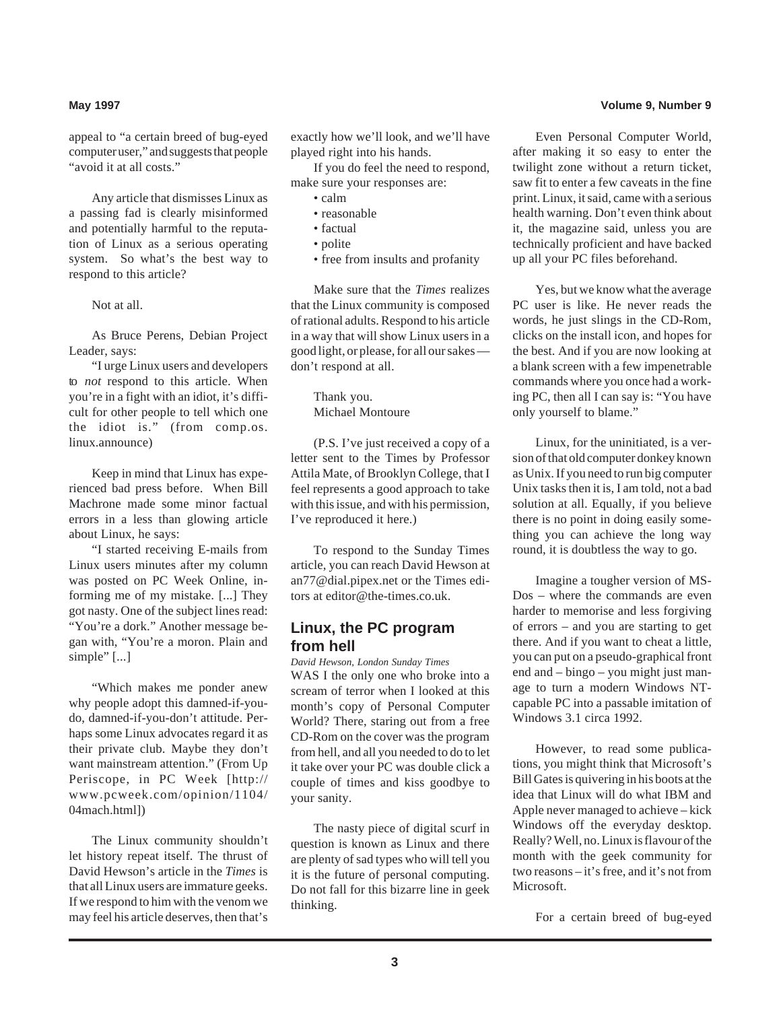appeal to "a certain breed of bug-eyed computer user," and suggests that people "avoid it at all costs."

Any article that dismisses Linux as a passing fad is clearly misinformed and potentially harmful to the reputation of Linux as a serious operating system. So what's the best way to respond to this article?

Not at all.

As Bruce Perens, Debian Project Leader, says:

"I urge Linux users and developers to *not* respond to this article. When you're in a fight with an idiot, it's difficult for other people to tell which one the idiot is." (from comp.os. linux.announce)

Keep in mind that Linux has experienced bad press before. When Bill Machrone made some minor factual errors in a less than glowing article about Linux, he says:

"I started receiving E-mails from Linux users minutes after my column was posted on PC Week Online, informing me of my mistake. [...] They got nasty. One of the subject lines read: "You're a dork." Another message began with, "You're a moron. Plain and simple"  $\lceil \ldots \rceil$ 

"Which makes me ponder anew why people adopt this damned-if-youdo, damned-if-you-don't attitude. Perhaps some Linux advocates regard it as their private club. Maybe they don't want mainstream attention." (From Up Periscope, in PC Week [http:// www.pcweek.com/opinion/1104/ 04mach.html])

The Linux community shouldn't let history repeat itself. The thrust of David Hewson's article in the *Times* is that all Linux users are immature geeks. If we respond to him with the venom we may feel his article deserves, then that's

exactly how we'll look, and we'll have played right into his hands.

If you do feel the need to respond, make sure your responses are:

- calm
- reasonable
- factual
- polite
- free from insults and profanity

Make sure that the *Times* realizes that the Linux community is composed of rational adults. Respond to his article in a way that will show Linux users in a good light, or please, for all our sakes don't respond at all.

> Thank you. Michael Montoure

(P.S. I've just received a copy of a letter sent to the Times by Professor Attila Mate, of Brooklyn College, that I feel represents a good approach to take with this issue, and with his permission, I've reproduced it here.)

To respond to the Sunday Times article, you can reach David Hewson at an77@dial.pipex.net or the Times editors at editor@the-times.co.uk.

### **Linux, the PC program from hell**

*David Hewson, London Sunday Times* WAS I the only one who broke into a scream of terror when I looked at this month's copy of Personal Computer World? There, staring out from a free CD-Rom on the cover was the program from hell, and all you needed to do to let it take over your PC was double click a couple of times and kiss goodbye to your sanity.

The nasty piece of digital scurf in question is known as Linux and there are plenty of sad types who will tell you it is the future of personal computing. Do not fall for this bizarre line in geek thinking.

### **May 1997 Volume 9, Number 9**

Even Personal Computer World, after making it so easy to enter the twilight zone without a return ticket, saw fit to enter a few caveats in the fine print. Linux, it said, came with a serious health warning. Don't even think about it, the magazine said, unless you are technically proficient and have backed up all your PC files beforehand.

Yes, but we know what the average PC user is like. He never reads the words, he just slings in the CD-Rom, clicks on the install icon, and hopes for the best. And if you are now looking at a blank screen with a few impenetrable commands where you once had a working PC, then all I can say is: "You have only yourself to blame."

Linux, for the uninitiated, is a version of that old computer donkey known as Unix. If you need to run big computer Unix tasks then it is, I am told, not a bad solution at all. Equally, if you believe there is no point in doing easily something you can achieve the long way round, it is doubtless the way to go.

Imagine a tougher version of MS-Dos – where the commands are even harder to memorise and less forgiving of errors – and you are starting to get there. And if you want to cheat a little, you can put on a pseudo-graphical front end and – bingo – you might just manage to turn a modern Windows NTcapable PC into a passable imitation of Windows 3.1 circa 1992.

However, to read some publications, you might think that Microsoft's Bill Gates is quivering in his boots at the idea that Linux will do what IBM and Apple never managed to achieve – kick Windows off the everyday desktop. Really? Well, no. Linux is flavour of the month with the geek community for two reasons – it's free, and it's not from Microsoft.

For a certain breed of bug-eyed